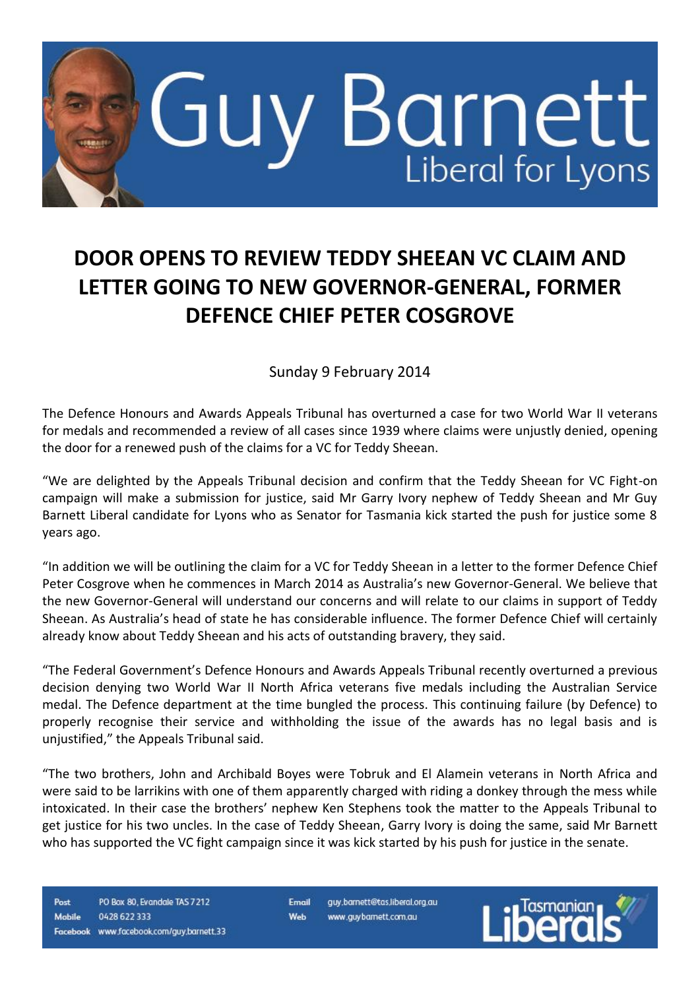

## **DOOR OPENS TO REVIEW TEDDY SHEEAN VC CLAIM AND LETTER GOING TO NEW GOVERNOR-GENERAL, FORMER DEFENCE CHIEF PETER COSGROVE**

Sunday 9 February 2014

The Defence Honours and Awards Appeals Tribunal has overturned a case for two World War II veterans for medals and recommended a review of all cases since 1939 where claims were unjustly denied, opening the door for a renewed push of the claims for a VC for Teddy Sheean.

"We are delighted by the Appeals Tribunal decision and confirm that the Teddy Sheean for VC Fight-on campaign will make a submission for justice, said Mr Garry Ivory nephew of Teddy Sheean and Mr Guy Barnett Liberal candidate for Lyons who as Senator for Tasmania kick started the push for justice some 8 years ago.

"In addition we will be outlining the claim for a VC for Teddy Sheean in a letter to the former Defence Chief Peter Cosgrove when he commences in March 2014 as Australia's new Governor-General. We believe that the new Governor-General will understand our concerns and will relate to our claims in support of Teddy Sheean. As Australia's head of state he has considerable influence. The former Defence Chief will certainly already know about Teddy Sheean and his acts of outstanding bravery, they said.

"The Federal Government's Defence Honours and Awards Appeals Tribunal recently overturned a previous decision denying two World War II North Africa veterans five medals including the Australian Service medal. The Defence department at the time bungled the process. This continuing failure (by Defence) to properly recognise their service and withholding the issue of the awards has no legal basis and is unjustified," the Appeals Tribunal said.

"The two brothers, John and Archibald Boyes were Tobruk and El Alamein veterans in North Africa and were said to be larrikins with one of them apparently charged with riding a donkey through the mess while intoxicated. In their case the brothers' nephew Ken Stephens took the matter to the Appeals Tribunal to get justice for his two uncles. In the case of Teddy Sheean, Garry Ivory is doing the same, said Mr Barnett who has supported the VC fight campaign since it was kick started by his push for justice in the senate.

Post PO Box 80, Evandale TAS 7212 Mobile 0428 622 333 Facebook www.facebook.com/guy.barnett.33 Email quy.barnett@tas.liberal.org.au Web www.guybarnett.com.au